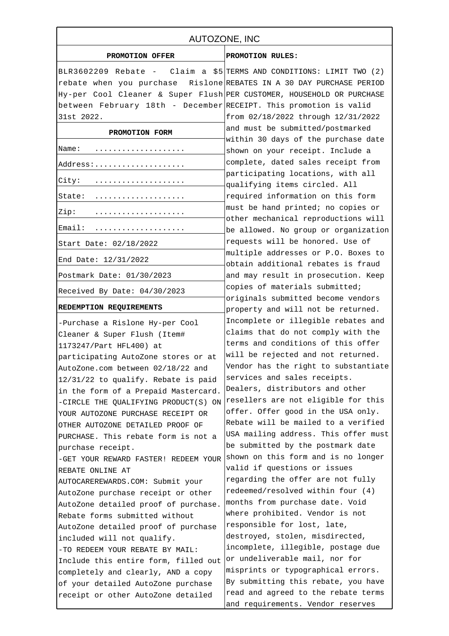| AUTOZONE, INC                                                                              |                                                                                                                                                                                                                                                                  |
|--------------------------------------------------------------------------------------------|------------------------------------------------------------------------------------------------------------------------------------------------------------------------------------------------------------------------------------------------------------------|
| PROMOTION OFFER                                                                            | PROMOTION RULES:                                                                                                                                                                                                                                                 |
| BLR3602209 Rebate - Claim a \$5 TERMS AND CONDITIONS: LIMIT TWO (2)                        |                                                                                                                                                                                                                                                                  |
| rebate when you purchase Rislone REBATES IN A 30 DAY PURCHASE PERIOD                       |                                                                                                                                                                                                                                                                  |
| Hy-per Cool Cleaner & Super Flush PER CUSTOMER, HOUSEHOLD OR PURCHASE                      |                                                                                                                                                                                                                                                                  |
| between February 18th - December RECEIPT. This promotion is valid                          |                                                                                                                                                                                                                                                                  |
| 31st 2022.                                                                                 | from 02/18/2022 through 12/31/2022                                                                                                                                                                                                                               |
| PROMOTION FORM                                                                             | and must be submitted/postmarked<br>within 30 days of the purchase date                                                                                                                                                                                          |
| Name:                                                                                      | shown on your receipt. Include a                                                                                                                                                                                                                                 |
| Address:                                                                                   | complete, dated sales receipt from                                                                                                                                                                                                                               |
| City:                                                                                      | participating locations, with all<br>qualifying items circled. All                                                                                                                                                                                               |
| State:                                                                                     | required information on this form                                                                                                                                                                                                                                |
| Zip:                                                                                       | must be hand printed; no copies or                                                                                                                                                                                                                               |
|                                                                                            | other mechanical reproductions will                                                                                                                                                                                                                              |
| Email:                                                                                     | be allowed. No group or organization                                                                                                                                                                                                                             |
| Start Date: 02/18/2022                                                                     | requests will be honored. Use of                                                                                                                                                                                                                                 |
| End Date: 12/31/2022                                                                       | multiple addresses or P.O. Boxes to<br>obtain additional rebates is fraud                                                                                                                                                                                        |
| Postmark Date: 01/30/2023                                                                  | and may result in prosecution. Keep                                                                                                                                                                                                                              |
| Received By Date: 04/30/2023                                                               | copies of materials submitted;                                                                                                                                                                                                                                   |
| REDEMPTION REQUIREMENTS                                                                    | originals submitted become vendors<br>property and will not be returned.                                                                                                                                                                                         |
| - Purchase a Rislone Hy-per Cool                                                           | Incomplete or illegible rebates and                                                                                                                                                                                                                              |
| Cleaner & Super Flush (Item#                                                               | claims that do not comply with the                                                                                                                                                                                                                               |
| 1173247/Part HFL400) at                                                                    | terms and conditions of this offer                                                                                                                                                                                                                               |
| participating AutoZone stores or at                                                        | will be rejected and not returned.                                                                                                                                                                                                                               |
| AutoZone.com between 02/18/22 and                                                          | Vendor has the right to substantiate                                                                                                                                                                                                                             |
| 12/31/22 to qualify. Rebate is paid                                                        | services and sales receipts.                                                                                                                                                                                                                                     |
| in the form of a Prepaid Mastercard.                                                       | Dealers, distributors and other                                                                                                                                                                                                                                  |
| - CIRCLE THE QUALIFYING PRODUCT(S) $\alpha$ <sup>resellers</sup> are not eligible for this |                                                                                                                                                                                                                                                                  |
| YOUR AUTOZONE PURCHASE RECEIPT OR                                                          | offer. Offer good in the USA only.                                                                                                                                                                                                                               |
| OTHER AUTOZONE DETAILED PROOF OF                                                           | Rebate will be mailed to a verified                                                                                                                                                                                                                              |
| PURCHASE. This rebate form is not a                                                        | USA mailing address. This offer must                                                                                                                                                                                                                             |
| purchase receipt.                                                                          | be submitted by the postmark date                                                                                                                                                                                                                                |
| - GET YOUR REWARD FASTER! REDEEM YOUR shown on this form and is no longer                  |                                                                                                                                                                                                                                                                  |
| REBATE ONLINE AT                                                                           | valid if questions or issues                                                                                                                                                                                                                                     |
| AUTOCAREREWARDS.COM: Submit your                                                           | regarding the offer are not fully                                                                                                                                                                                                                                |
| AutoZone purchase receipt or other                                                         | redeemed/resolved within four (4)                                                                                                                                                                                                                                |
| AutoZone detailed proof of purchase.                                                       | months from purchase date. Void                                                                                                                                                                                                                                  |
| Rebate forms submitted without                                                             | where prohibited. Vendor is not                                                                                                                                                                                                                                  |
| AutoZone detailed proof of purchase                                                        | responsible for lost, late,                                                                                                                                                                                                                                      |
| included will not qualify.                                                                 |                                                                                                                                                                                                                                                                  |
| - TO REDEEM YOUR REBATE BY MAIL:                                                           |                                                                                                                                                                                                                                                                  |
| Include this entire form, filled out                                                       |                                                                                                                                                                                                                                                                  |
| completely and clearly, AND a copy                                                         |                                                                                                                                                                                                                                                                  |
| of your detailed AutoZone purchase                                                         |                                                                                                                                                                                                                                                                  |
|                                                                                            |                                                                                                                                                                                                                                                                  |
| receipt or other AutoZone detailed                                                         | destroyed, stolen, misdirected,<br>incomplete, illegible, postage due<br>or undeliverable mail, nor for<br>misprints or typographical errors.<br>By submitting this rebate, you have<br>read and agreed to the rebate terms<br>and requirements. Vendor reserves |